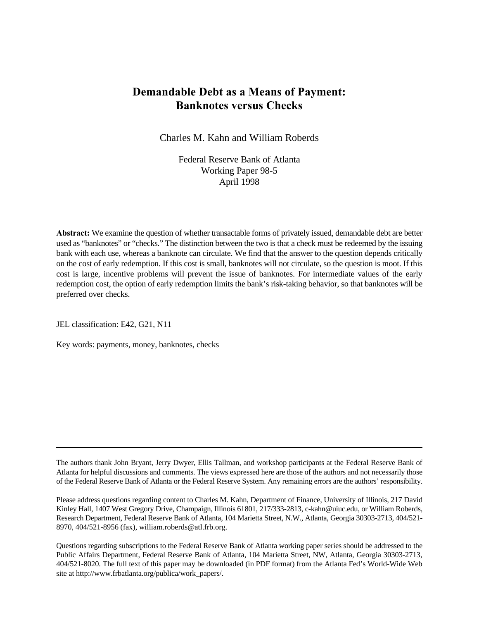# **Demandable Debt as a Means of Payment: Banknotes versus Checks**

Charles M. Kahn and William Roberds

Federal Reserve Bank of Atlanta Working Paper 98-5 April 1998

**Abstract:** We examine the question of whether transactable forms of privately issued, demandable debt are better used as "banknotes" or "checks." The distinction between the two is that a check must be redeemed by the issuing bank with each use, whereas a banknote can circulate. We find that the answer to the question depends critically on the cost of early redemption. If this cost is small, banknotes will not circulate, so the question is moot. If this cost is large, incentive problems will prevent the issue of banknotes. For intermediate values of the early redemption cost, the option of early redemption limits the bank's risk-taking behavior, so that banknotes will be preferred over checks.

JEL classification: E42, G21, N11

Key words: payments, money, banknotes, checks

The authors thank John Bryant, Jerry Dwyer, Ellis Tallman, and workshop participants at the Federal Reserve Bank of Atlanta for helpful discussions and comments. The views expressed here are those of the authors and not necessarily those of the Federal Reserve Bank of Atlanta or the Federal Reserve System. Any remaining errors are the authors' responsibility.

Please address questions regarding content to Charles M. Kahn, Department of Finance, University of Illinois, 217 David Kinley Hall, 1407 West Gregory Drive, Champaign, Illinois 61801, 217/333-2813, c-kahn@uiuc.edu, or William Roberds, Research Department, Federal Reserve Bank of Atlanta, 104 Marietta Street, N.W., Atlanta, Georgia 30303-2713, 404/521- 8970, 404/521-8956 (fax), william.roberds@atl.frb.org.

Questions regarding subscriptions to the Federal Reserve Bank of Atlanta working paper series should be addressed to the Public Affairs Department, Federal Reserve Bank of Atlanta, 104 Marietta Street, NW, Atlanta, Georgia 30303-2713, 404/521-8020. The full text of this paper may be downloaded (in PDF format) from the Atlanta Fed's World-Wide Web site at http://www.frbatlanta.org/publica/work\_papers/.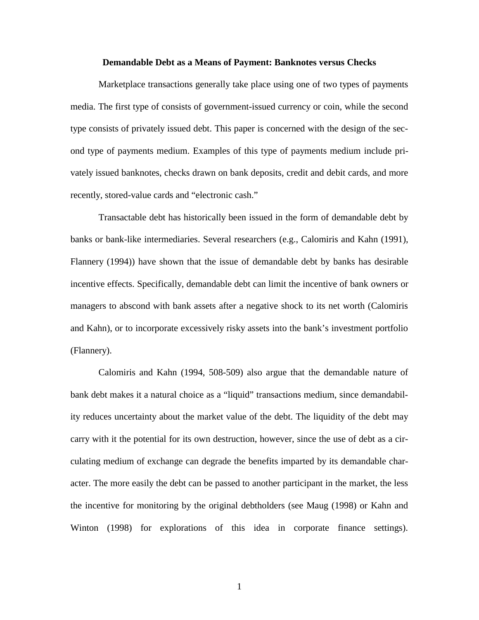#### **Demandable Debt as a Means of Payment: Banknotes versus Checks**

Marketplace transactions generally take place using one of two types of payments media. The first type of consists of government-issued currency or coin, while the second type consists of privately issued debt. This paper is concerned with the design of the second type of payments medium. Examples of this type of payments medium include privately issued banknotes, checks drawn on bank deposits, credit and debit cards, and more recently, stored-value cards and "electronic cash."

Transactable debt has historically been issued in the form of demandable debt by banks or bank-like intermediaries. Several researchers (e.g., Calomiris and Kahn (1991), Flannery (1994)) have shown that the issue of demandable debt by banks has desirable incentive effects. Specifically, demandable debt can limit the incentive of bank owners or managers to abscond with bank assets after a negative shock to its net worth (Calomiris and Kahn), or to incorporate excessively risky assets into the bank's investment portfolio (Flannery).

Calomiris and Kahn (1994, 508-509) also argue that the demandable nature of bank debt makes it a natural choice as a "liquid" transactions medium, since demandability reduces uncertainty about the market value of the debt. The liquidity of the debt may carry with it the potential for its own destruction, however, since the use of debt as a circulating medium of exchange can degrade the benefits imparted by its demandable character. The more easily the debt can be passed to another participant in the market, the less the incentive for monitoring by the original debtholders (see Maug (1998) or Kahn and Winton (1998) for explorations of this idea in corporate finance settings).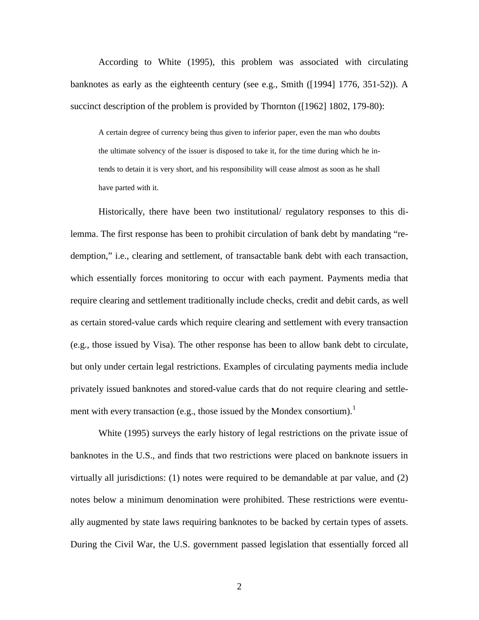According to White (1995), this problem was associated with circulating banknotes as early as the eighteenth century (see e.g., Smith  $(19941 1776, 351-52)$ ). A succinct description of the problem is provided by Thornton ([1962] 1802, 179-80):

A certain degree of currency being thus given to inferior paper, even the man who doubts the ultimate solvency of the issuer is disposed to take it, for the time during which he intends to detain it is very short, and his responsibility will cease almost as soon as he shall have parted with it.

Historically, there have been two institutional/ regulatory responses to this dilemma. The first response has been to prohibit circulation of bank debt by mandating "redemption," i.e., clearing and settlement, of transactable bank debt with each transaction, which essentially forces monitoring to occur with each payment. Payments media that require clearing and settlement traditionally include checks, credit and debit cards, as well as certain stored-value cards which require clearing and settlement with every transaction (e.g., those issued by Visa). The other response has been to allow bank debt to circulate, but only under certain legal restrictions. Examples of circulating payments media include privately issued banknotes and stored-value cards that do not require clearing and settlement with every transaction (e.g., those issued by the Mondex consortium).<sup>1</sup>

White (1995) surveys the early history of legal restrictions on the private issue of banknotes in the U.S., and finds that two restrictions were placed on banknote issuers in virtually all jurisdictions: (1) notes were required to be demandable at par value, and (2) notes below a minimum denomination were prohibited. These restrictions were eventually augmented by state laws requiring banknotes to be backed by certain types of assets. During the Civil War, the U.S. government passed legislation that essentially forced all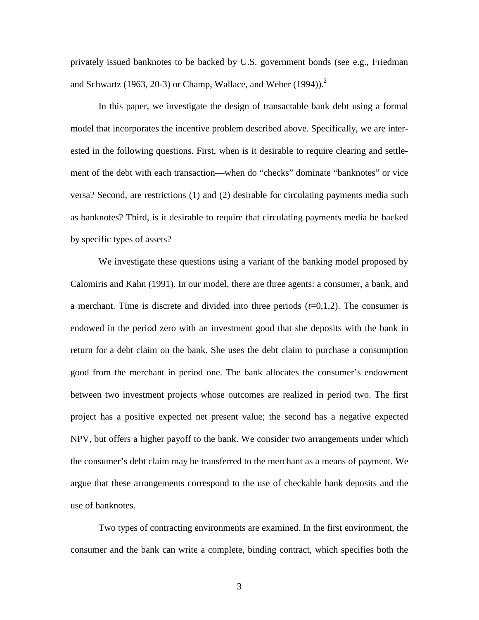privately issued banknotes to be backed by U.S. government bonds (see e.g., Friedman and Schwartz (1963, 20-3) or Champ, Wallace, and Weber (1994)).<sup>2</sup>

In this paper, we investigate the design of transactable bank debt using a formal model that incorporates the incentive problem described above. Specifically, we are interested in the following questions. First, when is it desirable to require clearing and settlement of the debt with each transaction—when do "checks" dominate "banknotes" or vice versa? Second, are restrictions (1) and (2) desirable for circulating payments media such as banknotes? Third, is it desirable to require that circulating payments media be backed by specific types of assets?

We investigate these questions using a variant of the banking model proposed by Calomiris and Kahn (1991). In our model, there are three agents: a consumer, a bank, and a merchant. Time is discrete and divided into three periods (*t*=0,1,2). The consumer is endowed in the period zero with an investment good that she deposits with the bank in return for a debt claim on the bank. She uses the debt claim to purchase a consumption good from the merchant in period one. The bank allocates the consumer's endowment between two investment projects whose outcomes are realized in period two. The first project has a positive expected net present value; the second has a negative expected NPV, but offers a higher payoff to the bank. We consider two arrangements under which the consumer's debt claim may be transferred to the merchant as a means of payment. We argue that these arrangements correspond to the use of checkable bank deposits and the use of banknotes.

Two types of contracting environments are examined. In the first environment, the consumer and the bank can write a complete, binding contract, which specifies both the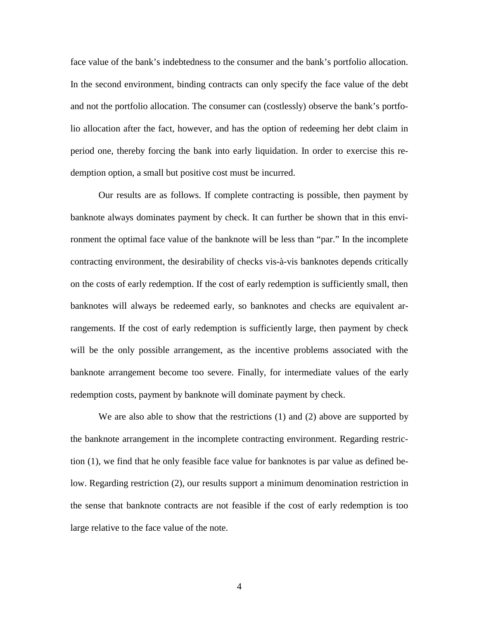face value of the bank's indebtedness to the consumer and the bank's portfolio allocation. In the second environment, binding contracts can only specify the face value of the debt and not the portfolio allocation. The consumer can (costlessly) observe the bank's portfolio allocation after the fact, however, and has the option of redeeming her debt claim in period one, thereby forcing the bank into early liquidation. In order to exercise this redemption option, a small but positive cost must be incurred.

Our results are as follows. If complete contracting is possible, then payment by banknote always dominates payment by check. It can further be shown that in this environment the optimal face value of the banknote will be less than "par." In the incomplete contracting environment, the desirability of checks vis-à-vis banknotes depends critically on the costs of early redemption. If the cost of early redemption is sufficiently small, then banknotes will always be redeemed early, so banknotes and checks are equivalent arrangements. If the cost of early redemption is sufficiently large, then payment by check will be the only possible arrangement, as the incentive problems associated with the banknote arrangement become too severe. Finally, for intermediate values of the early redemption costs, payment by banknote will dominate payment by check.

We are also able to show that the restrictions (1) and (2) above are supported by the banknote arrangement in the incomplete contracting environment. Regarding restriction (1), we find that he only feasible face value for banknotes is par value as defined below. Regarding restriction (2), our results support a minimum denomination restriction in the sense that banknote contracts are not feasible if the cost of early redemption is too large relative to the face value of the note.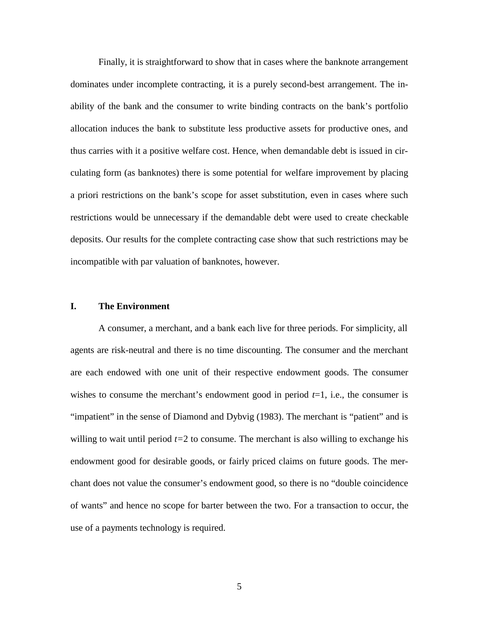Finally, it is straightforward to show that in cases where the banknote arrangement dominates under incomplete contracting, it is a purely second-best arrangement. The inability of the bank and the consumer to write binding contracts on the bank's portfolio allocation induces the bank to substitute less productive assets for productive ones, and thus carries with it a positive welfare cost. Hence, when demandable debt is issued in circulating form (as banknotes) there is some potential for welfare improvement by placing a priori restrictions on the bank's scope for asset substitution, even in cases where such restrictions would be unnecessary if the demandable debt were used to create checkable deposits. Our results for the complete contracting case show that such restrictions may be incompatible with par valuation of banknotes, however.

## **I. The Environment**

A consumer, a merchant, and a bank each live for three periods. For simplicity, all agents are risk-neutral and there is no time discounting. The consumer and the merchant are each endowed with one unit of their respective endowment goods. The consumer wishes to consume the merchant's endowment good in period  $t=1$ , i.e., the consumer is "impatient" in the sense of Diamond and Dybvig (1983). The merchant is "patient" and is willing to wait until period *t=*2 to consume. The merchant is also willing to exchange his endowment good for desirable goods, or fairly priced claims on future goods. The merchant does not value the consumer's endowment good, so there is no "double coincidence of wants" and hence no scope for barter between the two. For a transaction to occur, the use of a payments technology is required.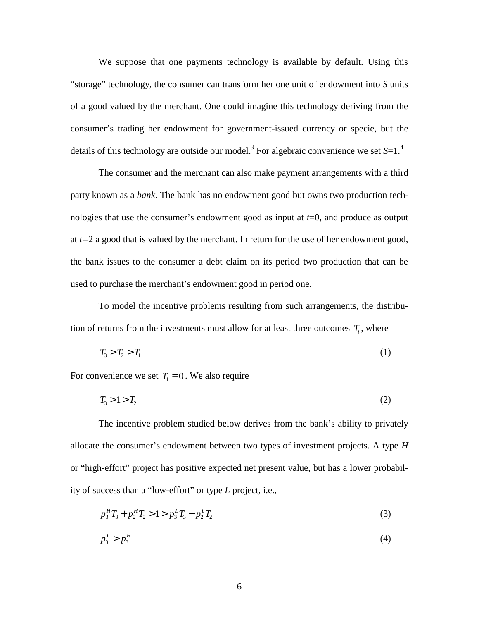We suppose that one payments technology is available by default. Using this "storage" technology, the consumer can transform her one unit of endowment into *S* units of a good valued by the merchant. One could imagine this technology deriving from the consumer's trading her endowment for government-issued currency or specie, but the details of this technology are outside our model.<sup>3</sup> For algebraic convenience we set S=1.<sup>4</sup>

The consumer and the merchant can also make payment arrangements with a third party known as a *bank*. The bank has no endowment good but owns two production technologies that use the consumer's endowment good as input at *t*=0, and produce as output at *t=*2 a good that is valued by the merchant. In return for the use of her endowment good, the bank issues to the consumer a debt claim on its period two production that can be used to purchase the merchant's endowment good in period one.

To model the incentive problems resulting from such arrangements, the distribution of returns from the investments must allow for at least three outcomes  $T_i$ , where

$$
T_3 > T_2 > T_1 \tag{1}
$$

For convenience we set  $T_1 = 0$ . We also require

$$
T_3 > 1 > T_2 \tag{2}
$$

The incentive problem studied below derives from the bank's ability to privately allocate the consumer's endowment between two types of investment projects. A type *H* or "high-effort" project has positive expected net present value, but has a lower probability of success than a "low-effort" or type *L* project, i.e.,

$$
p_3^H T_3 + p_2^H T_2 > 1 > p_3^L T_3 + p_2^L T_2 \tag{3}
$$

$$
p_3^L > p_3^H \tag{4}
$$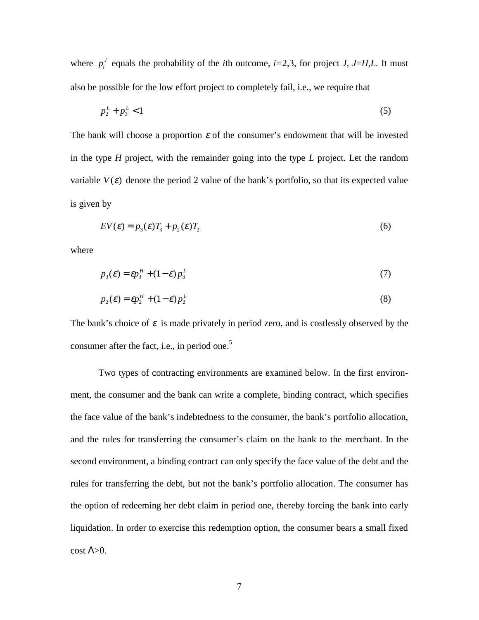where  $p_i^J$  equals the probability of the *i*th outcome, *i*=2,3, for project *J*, *J*=*H*,*L*. It must also be possible for the low effort project to completely fail, i.e., we require that

$$
p_2^L + p_3^L < 1 \tag{5}
$$

The bank will choose a proportion  $\varepsilon$  of the consumer's endowment that will be invested in the type *H* project, with the remainder going into the type *L* project. Let the random variable  $V(\varepsilon)$  denote the period 2 value of the bank's portfolio, so that its expected value is given by

$$
EV(\varepsilon) = p_3(\varepsilon)T_3 + p_2(\varepsilon)T_2
$$
\n<sup>(6)</sup>

where

$$
p_3(\varepsilon) = \varepsilon p_3^H + (1 - \varepsilon) p_3^L \tag{7}
$$

$$
p_2(\varepsilon) = \varepsilon p_2^H + (1 - \varepsilon) p_2^L \tag{8}
$$

The bank's choice of  $\varepsilon$  is made privately in period zero, and is costlessly observed by the consumer after the fact, i.e., in period one.<sup>5</sup>

Two types of contracting environments are examined below. In the first environment, the consumer and the bank can write a complete, binding contract, which specifies the face value of the bank's indebtedness to the consumer, the bank's portfolio allocation, and the rules for transferring the consumer's claim on the bank to the merchant. In the second environment, a binding contract can only specify the face value of the debt and the rules for transferring the debt, but not the bank's portfolio allocation. The consumer has the option of redeeming her debt claim in period one, thereby forcing the bank into early liquidation. In order to exercise this redemption option, the consumer bears a small fixed cost  $Λ>0$ .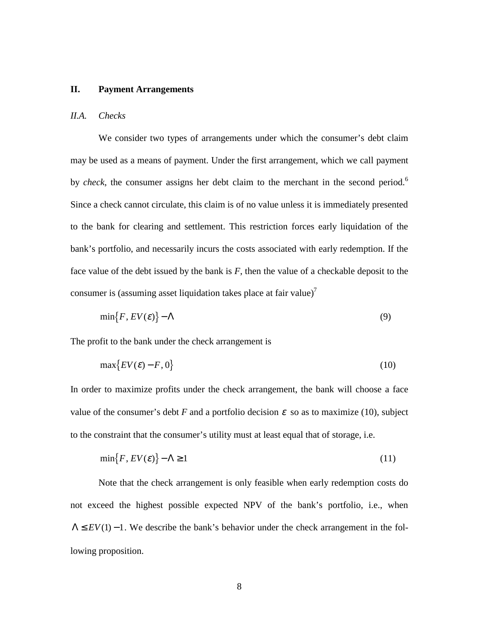#### **II. Payment Arrangements**

### *II.A. Checks*

We consider two types of arrangements under which the consumer's debt claim may be used as a means of payment. Under the first arrangement, which we call payment by *check*, the consumer assigns her debt claim to the merchant in the second period.<sup>6</sup> Since a check cannot circulate, this claim is of no value unless it is immediately presented to the bank for clearing and settlement. This restriction forces early liquidation of the bank's portfolio, and necessarily incurs the costs associated with early redemption. If the face value of the debt issued by the bank is *F*, then the value of a checkable deposit to the consumer is (assuming asset liquidation takes place at fair value)<sup>7</sup>

$$
\min\{F, EV(\varepsilon)\} - \Lambda \tag{9}
$$

The profit to the bank under the check arrangement is

$$
\max\{EV(\varepsilon) - F, 0\} \tag{10}
$$

In order to maximize profits under the check arrangement, the bank will choose a face value of the consumer's debt *F* and a portfolio decision  $\varepsilon$  so as to maximize (10), subject to the constraint that the consumer's utility must at least equal that of storage, i.e.

$$
\min\{F, EV(\varepsilon)\} - \Lambda \ge 1\tag{11}
$$

Note that the check arrangement is only feasible when early redemption costs do not exceed the highest possible expected NPV of the bank's portfolio, i.e., when  $\Lambda \leq EV(1) - 1$ . We describe the bank's behavior under the check arrangement in the following proposition.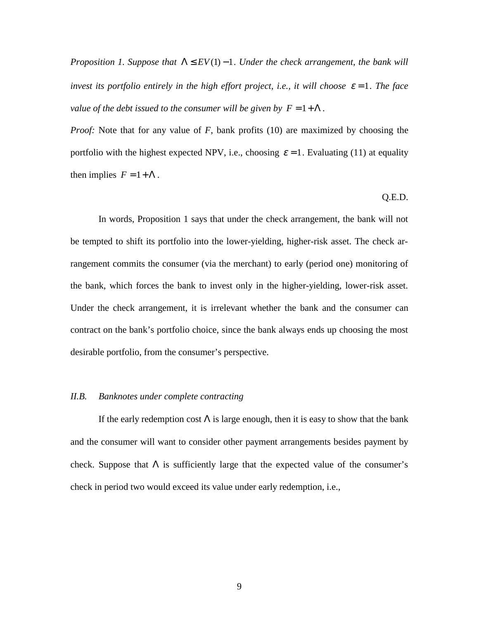*Proposition 1. Suppose that*  $\Lambda \leq EV(1) - 1$ . *Under the check arrangement, the bank will invest its portfolio entirely in the high effort project, i.e., it will choose*  $\varepsilon = 1$ *. The face value of the debt issued to the consumer will be given by*  $F = 1 + \Lambda$ *.* 

*Proof:* Note that for any value of *F*, bank profits (10) are maximized by choosing the portfolio with the highest expected NPV, i.e., choosing  $\varepsilon = 1$ . Evaluating (11) at equality then implies  $F = 1 + \Lambda$ .

#### Q.E.D.

In words, Proposition 1 says that under the check arrangement, the bank will not be tempted to shift its portfolio into the lower-yielding, higher-risk asset. The check arrangement commits the consumer (via the merchant) to early (period one) monitoring of the bank, which forces the bank to invest only in the higher-yielding, lower-risk asset. Under the check arrangement, it is irrelevant whether the bank and the consumer can contract on the bank's portfolio choice, since the bank always ends up choosing the most desirable portfolio, from the consumer's perspective.

#### *II.B. Banknotes under complete contracting*

If the early redemption cost  $\Lambda$  is large enough, then it is easy to show that the bank and the consumer will want to consider other payment arrangements besides payment by check. Suppose that  $\Lambda$  is sufficiently large that the expected value of the consumer's check in period two would exceed its value under early redemption, i.e.,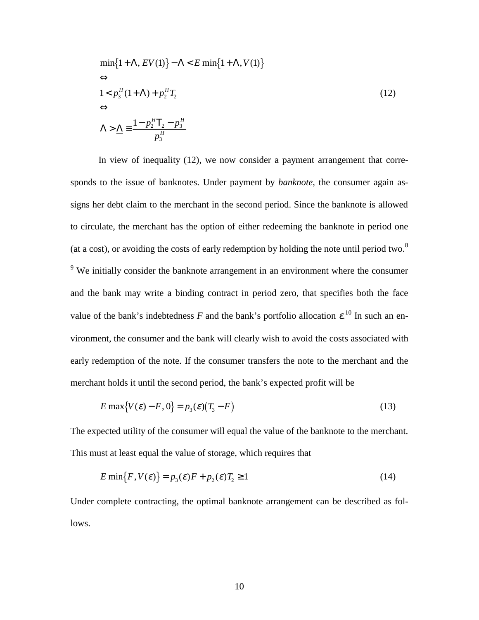$$
\min\{1+\Lambda, EV(1)\} - \Lambda < E \min\{1+\Lambda, V(1)\}\
$$
\n
$$
\Leftrightarrow
$$
\n
$$
1 < p_3^H (1+\Lambda) + p_2^H T_2
$$
\n
$$
\Leftrightarrow
$$
\n
$$
\Lambda > \underline{\Lambda} \equiv \frac{1 - p_2^H T_2 - p_3^H}{p_3^H}
$$
\n
$$
(12)
$$

In view of inequality (12), we now consider a payment arrangement that corresponds to the issue of banknotes. Under payment by *banknote*, the consumer again assigns her debt claim to the merchant in the second period. Since the banknote is allowed to circulate, the merchant has the option of either redeeming the banknote in period one (at a cost), or avoiding the costs of early redemption by holding the note until period two. $8$ <sup>9</sup> We initially consider the banknote arrangement in an environment where the consumer and the bank may write a binding contract in period zero, that specifies both the face value of the bank's indebtedness *F* and the bank's portfolio allocation  $\varepsilon$ <sup>10</sup> In such an environment, the consumer and the bank will clearly wish to avoid the costs associated with early redemption of the note. If the consumer transfers the note to the merchant and the merchant holds it until the second period, the bank's expected profit will be

$$
E \max\{V(\varepsilon) - F, 0\} = p_3(\varepsilon)(T_3 - F) \tag{13}
$$

The expected utility of the consumer will equal the value of the banknote to the merchant. This must at least equal the value of storage, which requires that

$$
E \min\{F, V(\varepsilon)\} = p_3(\varepsilon)F + p_2(\varepsilon)T_2 \ge 1
$$
\n(14)

Under complete contracting, the optimal banknote arrangement can be described as follows.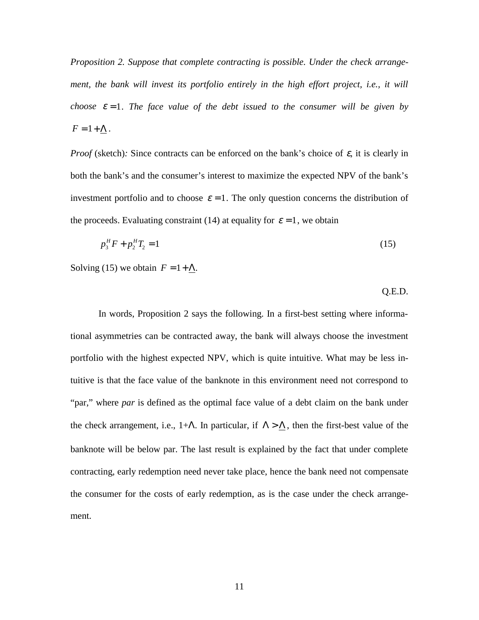*Proposition 2. Suppose that complete contracting is possible. Under the check arrangement, the bank will invest its portfolio entirely in the high effort project, i.e., it will choose*  $\varepsilon = 1$ *. The face value of the debt issued to the consumer will be given by*  $F = 1 + \Lambda$ .

*Proof* (sketch): Since contracts can be enforced on the bank's choice of  $\varepsilon$ , it is clearly in both the bank's and the consumer's interest to maximize the expected NPV of the bank's investment portfolio and to choose  $\varepsilon = 1$ . The only question concerns the distribution of the proceeds. Evaluating constraint (14) at equality for  $\varepsilon = 1$ , we obtain

$$
p_3^H F + p_2^H T_2 = 1 \tag{15}
$$

Solving (15) we obtain  $F = 1 + \Lambda$ .

Q.E.D.

In words, Proposition 2 says the following. In a first-best setting where informational asymmetries can be contracted away, the bank will always choose the investment portfolio with the highest expected NPV, which is quite intuitive. What may be less intuitive is that the face value of the banknote in this environment need not correspond to "par," where *par* is defined as the optimal face value of a debt claim on the bank under the check arrangement, i.e., 1+Λ. In particular, if  $\Lambda > \Lambda$ , then the first-best value of the banknote will be below par. The last result is explained by the fact that under complete contracting, early redemption need never take place, hence the bank need not compensate the consumer for the costs of early redemption, as is the case under the check arrangement.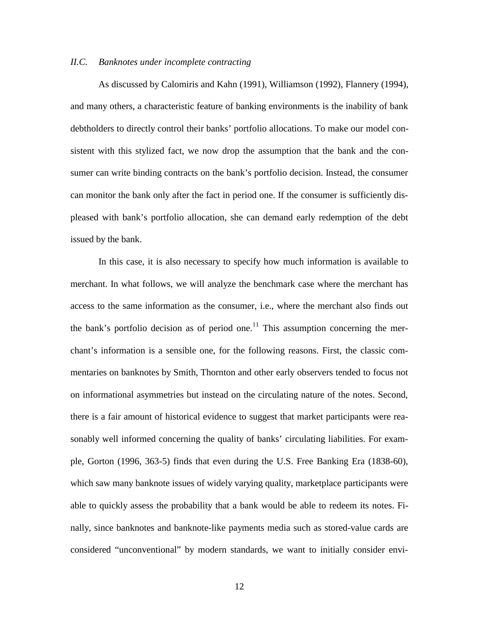### *II.C. Banknotes under incomplete contracting*

As discussed by Calomiris and Kahn (1991), Williamson (1992), Flannery (1994), and many others, a characteristic feature of banking environments is the inability of bank debtholders to directly control their banks' portfolio allocations. To make our model consistent with this stylized fact, we now drop the assumption that the bank and the consumer can write binding contracts on the bank's portfolio decision. Instead, the consumer can monitor the bank only after the fact in period one. If the consumer is sufficiently displeased with bank's portfolio allocation, she can demand early redemption of the debt issued by the bank.

In this case, it is also necessary to specify how much information is available to merchant. In what follows, we will analyze the benchmark case where the merchant has access to the same information as the consumer, i.e., where the merchant also finds out the bank's portfolio decision as of period one.<sup>11</sup> This assumption concerning the merchant's information is a sensible one, for the following reasons. First, the classic commentaries on banknotes by Smith, Thornton and other early observers tended to focus not on informational asymmetries but instead on the circulating nature of the notes. Second, there is a fair amount of historical evidence to suggest that market participants were reasonably well informed concerning the quality of banks' circulating liabilities. For example, Gorton (1996, 363-5) finds that even during the U.S. Free Banking Era (1838-60), which saw many banknote issues of widely varying quality, marketplace participants were able to quickly assess the probability that a bank would be able to redeem its notes. Finally, since banknotes and banknote-like payments media such as stored-value cards are considered "unconventional" by modern standards, we want to initially consider envi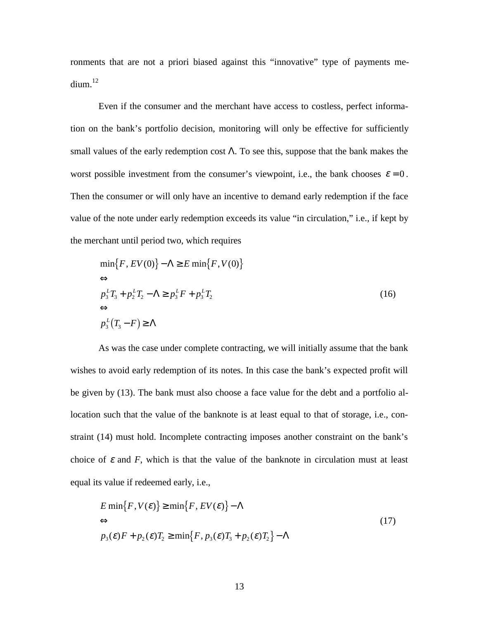ronments that are not a priori biased against this "innovative" type of payments me- $\dim^{12}$ 

Even if the consumer and the merchant have access to costless, perfect information on the bank's portfolio decision, monitoring will only be effective for sufficiently small values of the early redemption cost  $\Lambda$ . To see this, suppose that the bank makes the worst possible investment from the consumer's viewpoint, i.e., the bank chooses  $\varepsilon = 0$ . Then the consumer or will only have an incentive to demand early redemption if the face value of the note under early redemption exceeds its value "in circulation," i.e., if kept by the merchant until period two, which requires

$$
\min\{F, EV(0)\} - \Lambda \ge E \min\{F, V(0)\}\
$$
  
\n
$$
\Leftrightarrow
$$
  
\n
$$
p_3^L T_3 + p_2^L T_2 - \Lambda \ge p_3^L F + p_3^L T_2
$$
  
\n
$$
\Leftrightarrow
$$
  
\n
$$
p_3^L (T_3 - F) \ge \Lambda
$$
\n(16)

As was the case under complete contracting, we will initially assume that the bank wishes to avoid early redemption of its notes. In this case the bank's expected profit will be given by (13). The bank must also choose a face value for the debt and a portfolio allocation such that the value of the banknote is at least equal to that of storage, i.e., constraint (14) must hold. Incomplete contracting imposes another constraint on the bank's choice of  $\varepsilon$  and  $F$ , which is that the value of the banknote in circulation must at least equal its value if redeemed early, i.e.,

$$
E \min\{F, V(\varepsilon)\} \ge \min\{F, EV(\varepsilon)\} - \Lambda
$$
  
\n
$$
\Leftrightarrow
$$
  
\n
$$
p_3(\varepsilon)F + p_2(\varepsilon)T_2 \ge \min\{F, p_3(\varepsilon)T_3 + p_2(\varepsilon)T_2\} - \Lambda
$$
\n(17)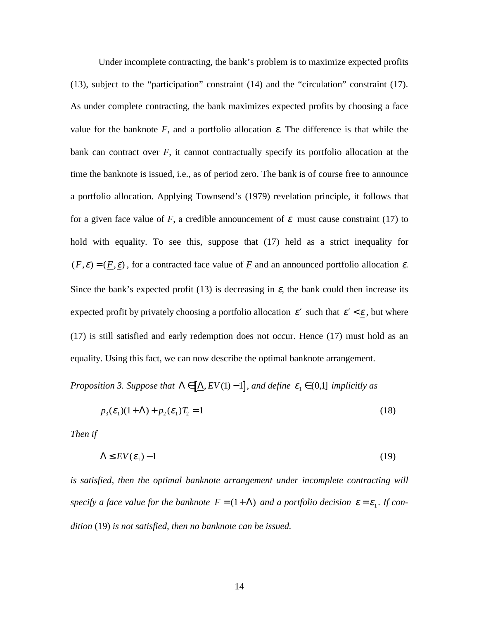Under incomplete contracting, the bank's problem is to maximize expected profits (13), subject to the "participation" constraint (14) and the "circulation" constraint (17). As under complete contracting, the bank maximizes expected profits by choosing a face value for the banknote  $F$ , and a portfolio allocation  $\varepsilon$ . The difference is that while the bank can contract over *F*, it cannot contractually specify its portfolio allocation at the time the banknote is issued, i.e., as of period zero. The bank is of course free to announce a portfolio allocation. Applying Townsend's (1979) revelation principle, it follows that for a given face value of *F*, a credible announcement of  $\varepsilon$  must cause constraint (17) to hold with equality. To see this, suppose that (17) held as a strict inequality for  $(F, \varepsilon) = (F, \varepsilon)$ , for a contracted face value of F and an announced portfolio allocation  $\varepsilon$ . Since the bank's expected profit (13) is decreasing in  $\varepsilon$ , the bank could then increase its expected profit by privately choosing a portfolio allocation  $\varepsilon'$  such that  $\varepsilon' < \underline{\varepsilon}$ , but where (17) is still satisfied and early redemption does not occur. Hence (17) must hold as an equality. Using this fact, we can now describe the optimal banknote arrangement.

*Proposition 3. Suppose that*  $\Lambda \in [\Delta, EV(1) - 1]$ *, and define*  $\varepsilon_1 \in (0,1]$  *implicitly as* 

$$
p_3(\varepsilon_1)(1+\Lambda) + p_2(\varepsilon_1)T_2 = 1\tag{18}
$$

*Then if*

$$
\Lambda \le EV(\varepsilon_1) - 1 \tag{19}
$$

is satisfied, then the optimal banknote arrangement under incomplete contracting will *specify a face value for the banknote*  $F = (1 + \Lambda)$  *and a portfolio decision*  $\varepsilon = \varepsilon_1$ *. If condition* (19) *is not satisfied, then no banknote can be issued.*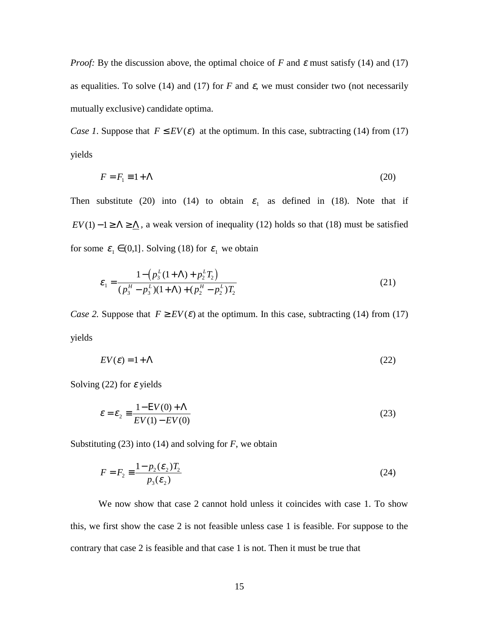*Proof:* By the discussion above, the optimal choice of *F* and  $\varepsilon$  must satisfy (14) and (17) as equalities. To solve (14) and (17) for  $F$  and  $\varepsilon$ , we must consider two (not necessarily mutually exclusive) candidate optima.

*Case 1.* Suppose that  $F \leq EV(\varepsilon)$  at the optimum. In this case, subtracting (14) from (17) yields

$$
F = F_1 \equiv 1 + \Lambda \tag{20}
$$

Then substitute (20) into (14) to obtain  $\varepsilon_1$  as defined in (18). Note that if *EV*(1) −1 ≥  $\Lambda$  ≥  $\Lambda$ , a weak version of inequality (12) holds so that (18) must be satisfied for some  $\varepsilon_1 \in (0,1]$ . Solving (18) for  $\varepsilon_1$  we obtain

$$
\varepsilon_1 = \frac{1 - (p_3^L(1 + \Lambda) + p_2^L T_2)}{(p_3^H - p_3^L)(1 + \Lambda) + (p_2^H - p_2^L)T_2}
$$
\n(21)

*Case 2.* Suppose that  $F \geq EV(\varepsilon)$  at the optimum. In this case, subtracting (14) from (17) yields

$$
EV(\varepsilon) = 1 + \Lambda \tag{22}
$$

Solving (22) for  $\varepsilon$  yields

$$
\varepsilon = \varepsilon_2 \equiv \frac{1 - \text{EV}(0) + \Lambda}{\text{EV}(1) - \text{EV}(0)}\tag{23}
$$

Substituting (23) into (14) and solving for *F*, we obtain

$$
F = F_2 \equiv \frac{1 - p_2(\varepsilon_2)T_2}{p_3(\varepsilon_2)}\tag{24}
$$

We now show that case 2 cannot hold unless it coincides with case 1. To show this, we first show the case 2 is not feasible unless case 1 is feasible. For suppose to the contrary that case 2 is feasible and that case 1 is not. Then it must be true that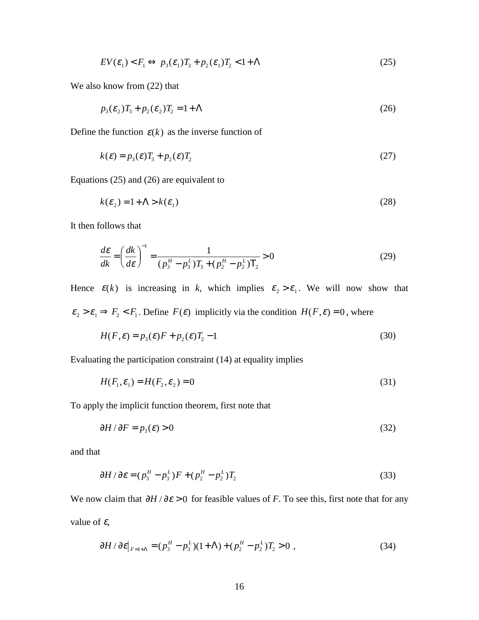$$
EV(\varepsilon_1) < F_1 \Leftrightarrow p_3(\varepsilon_1)T_3 + p_2(\varepsilon_1)T_2 < 1 + \Lambda \tag{25}
$$

We also know from (22) that

$$
p_3(\varepsilon_2)T_3 + p_2(\varepsilon_2)T_2 = 1 + \Lambda \tag{26}
$$

Define the function  $\varepsilon(k)$  as the inverse function of

$$
k(\varepsilon) = p_3(\varepsilon)T_3 + p_2(\varepsilon)T_2
$$
\n(27)

Equations (25) and (26) are equivalent to

$$
k(\varepsilon_2) = 1 + \Lambda > k(\varepsilon_1) \tag{28}
$$

It then follows that

$$
\frac{d\varepsilon}{dk} = \left(\frac{dk}{d\varepsilon}\right)^{-1} = \frac{1}{(p_3^H - p_3^L)T_3 + (p_2^H - p_2^L)T_2} > 0\tag{29}
$$

Hence  $\varepsilon(k)$  is increasing in *k*, which implies  $\varepsilon_2 > \varepsilon_1$ . We will now show that  $\varepsilon_2 > \varepsilon_1 \Rightarrow F_2 < F_1$ . Define  $F(\varepsilon)$  implicitly via the condition  $H(F, \varepsilon) = 0$ , where

$$
H(F,\varepsilon) = p_3(\varepsilon)F + p_2(\varepsilon)T_2 - 1\tag{30}
$$

Evaluating the participation constraint (14) at equality implies

$$
H(F_1, \varepsilon_1) = H(F_2, \varepsilon_2) = 0
$$
\n(31)

To apply the implicit function theorem, first note that

$$
\partial H / \partial F = p_3(\varepsilon) > 0 \tag{32}
$$

and that

$$
\partial H / \partial \varepsilon = (p_3^H - p_3^L) F + (p_2^H - p_2^L) T_2 \tag{33}
$$

We now claim that  $\partial H / \partial \varepsilon > 0$  for feasible values of *F*. To see this, first note that for any value of  $\varepsilon$ ,

$$
\partial H / \partial \varepsilon |_{F=1+\Lambda} = (p_3^H - p_3^L)(1+\Lambda) + (p_2^H - p_2^L)T_2 > 0 , \qquad (34)
$$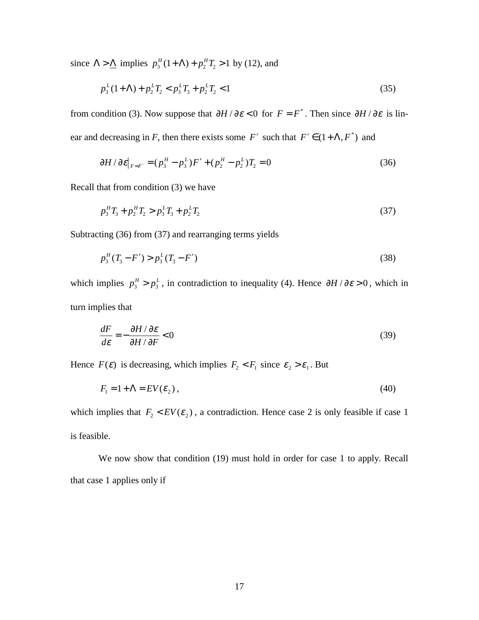since  $\Lambda > \underline{\Lambda}$  implies  $p_3^H(1+\Lambda) + p_2^H T_2 > 1$  by (12), and

$$
p_3^L(1+\Lambda) + p_2^L T_2 < p_3^L T_3 + p_2^L T_2 < 1\tag{35}
$$

from condition (3). Now suppose that  $\partial H / \partial \varepsilon < 0$  for  $F = F^*$ . Then since  $\partial H / \partial \varepsilon$  is linear and decreasing in *F*, then there exists some *F'* such that  $F' \in (1 + \Lambda, F^*)$  and

$$
\partial H / \partial \varepsilon |_{F = F'} = (p_3^H - p_3^L) F' + (p_2^H - p_2^L) T_2 = 0 \tag{36}
$$

Recall that from condition (3) we have

$$
p_3^H T_3 + p_2^H T_2 > p_3^L T_3 + p_2^L T_2 \tag{37}
$$

Subtracting (36) from (37) and rearranging terms yields

$$
p_3^H(T_3 - F') > p_3^L(T_3 - F') \tag{38}
$$

which implies  $p_3^H > p_3^L$ , in contradiction to inequality (4). Hence  $\partial H / \partial \varepsilon > 0$ , which in turn implies that

$$
\frac{dF}{d\varepsilon} = -\frac{\partial H/\partial \varepsilon}{\partial H/\partial F} < 0\tag{39}
$$

Hence  $F(\varepsilon)$  is decreasing, which implies  $F_2 < F_1$  since  $\varepsilon_2 > \varepsilon_1$ . But

$$
F_1 = 1 + \Lambda = EV(\varepsilon_2),\tag{40}
$$

which implies that  $F_2$  <  $EV(\varepsilon_2)$ , a contradiction. Hence case 2 is only feasible if case 1 is feasible.

We now show that condition (19) must hold in order for case 1 to apply. Recall that case 1 applies only if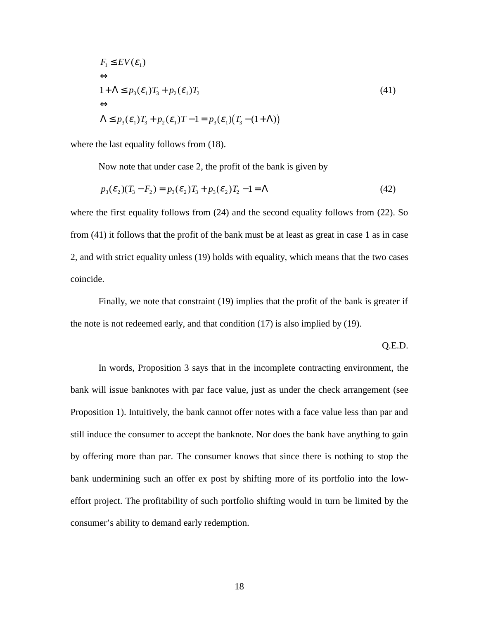$$
F_1 \le EV(\varepsilon_1)
$$
  
\n
$$
\Leftrightarrow
$$
  
\n
$$
1 + \Lambda \le p_3(\varepsilon_1)T_3 + p_2(\varepsilon_1)T_2
$$
  
\n
$$
\Leftrightarrow
$$
  
\n
$$
\Lambda \le p_3(\varepsilon_1)T_3 + p_2(\varepsilon_1)T - 1 = p_3(\varepsilon_1)(T_3 - (1 + \Lambda))
$$
\n(41)

where the last equality follows from  $(18)$ .

Now note that under case 2, the profit of the bank is given by

$$
p_3(\varepsilon_2)(T_3 - F_2) = p_3(\varepsilon_2)T_3 + p_3(\varepsilon_2)T_2 - 1 = \Lambda
$$
\n(42)

where the first equality follows from  $(24)$  and the second equality follows from  $(22)$ . So from (41) it follows that the profit of the bank must be at least as great in case 1 as in case 2, and with strict equality unless (19) holds with equality, which means that the two cases coincide.

Finally, we note that constraint (19) implies that the profit of the bank is greater if the note is not redeemed early, and that condition (17) is also implied by (19).

Q.E.D.

In words, Proposition 3 says that in the incomplete contracting environment, the bank will issue banknotes with par face value, just as under the check arrangement (see Proposition 1). Intuitively, the bank cannot offer notes with a face value less than par and still induce the consumer to accept the banknote. Nor does the bank have anything to gain by offering more than par. The consumer knows that since there is nothing to stop the bank undermining such an offer ex post by shifting more of its portfolio into the loweffort project. The profitability of such portfolio shifting would in turn be limited by the consumer's ability to demand early redemption.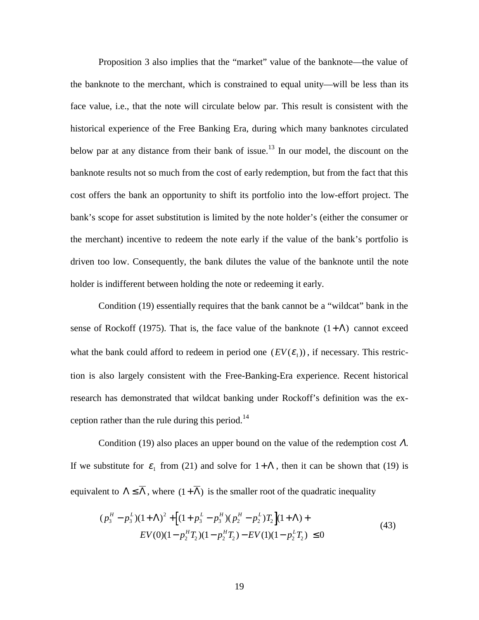Proposition 3 also implies that the "market" value of the banknote—the value of the banknote to the merchant, which is constrained to equal unity—will be less than its face value, i.e., that the note will circulate below par. This result is consistent with the historical experience of the Free Banking Era, during which many banknotes circulated below par at any distance from their bank of issue.<sup>13</sup> In our model, the discount on the banknote results not so much from the cost of early redemption, but from the fact that this cost offers the bank an opportunity to shift its portfolio into the low-effort project. The bank's scope for asset substitution is limited by the note holder's (either the consumer or the merchant) incentive to redeem the note early if the value of the bank's portfolio is driven too low. Consequently, the bank dilutes the value of the banknote until the note holder is indifferent between holding the note or redeeming it early.

Condition (19) essentially requires that the bank cannot be a "wildcat" bank in the sense of Rockoff (1975). That is, the face value of the banknote  $(1+\Lambda)$  cannot exceed what the bank could afford to redeem in period one  $(EV(\mathcal{E}_1))$ , if necessary. This restriction is also largely consistent with the Free-Banking-Era experience. Recent historical research has demonstrated that wildcat banking under Rockoff's definition was the exception rather than the rule during this period.<sup>14</sup>

Condition (19) also places an upper bound on the value of the redemption cost  $\Lambda$ . If we substitute for  $\varepsilon_1$  from (21) and solve for  $1+\Lambda$ , then it can be shown that (19) is equivalent to  $\Lambda \leq \overline{\Lambda}$ , where  $(1+\overline{\Lambda})$  is the smaller root of the quadratic inequality

$$
(p_3^H - p_3^L)(1 + \Lambda)^2 + \left[ (1 + p_3^L - p_3^H)(p_2^H - p_2^L)T_2 \right](1 + \Lambda) +
$$
  
\n
$$
EV(0)(1 - p_2^H T_2)(1 - p_2^H T_2) - EV(1)(1 - p_2^L T_2) \le 0
$$
\n(43)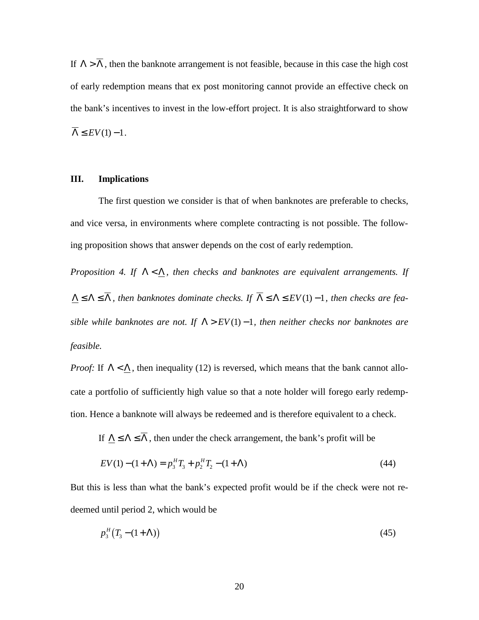If  $\Lambda > \overline{\Lambda}$ , then the banknote arrangement is not feasible, because in this case the high cost of early redemption means that ex post monitoring cannot provide an effective check on the bank's incentives to invest in the low-effort project. It is also straightforward to show  $\overline{\Lambda} \leq EV(1) - 1$ .

### **III. Implications**

The first question we consider is that of when banknotes are preferable to checks, and vice versa, in environments where complete contracting is not possible. The following proposition shows that answer depends on the cost of early redemption.

*Proposition 4. If*  $\Lambda < \Lambda$ *, then checks and banknotes are equivalent arrangements. If*  $\Lambda \leq \Lambda \leq \overline{\Lambda}$ , then banknotes dominate checks. If  $\overline{\Lambda} \leq \Lambda \leq EV(1) - 1$ , then checks are fea*sible while banknotes are not. If*  $\Lambda > EV(1) - 1$ *, then neither checks nor banknotes are feasible.*

*Proof:* If  $\Lambda < \Lambda$ , then inequality (12) is reversed, which means that the bank cannot allocate a portfolio of sufficiently high value so that a note holder will forego early redemption. Hence a banknote will always be redeemed and is therefore equivalent to a check.

If  $\Delta \le \Lambda \le \overline{\Lambda}$ , then under the check arrangement, the bank's profit will be

$$
EV(1) - (1 + \Lambda) = p_3^H T_3 + p_2^H T_2 - (1 + \Lambda)
$$
\n(44)

But this is less than what the bank's expected profit would be if the check were not redeemed until period 2, which would be

$$
p_3^H\big(T_3-(1+\Lambda)\big) \tag{45}
$$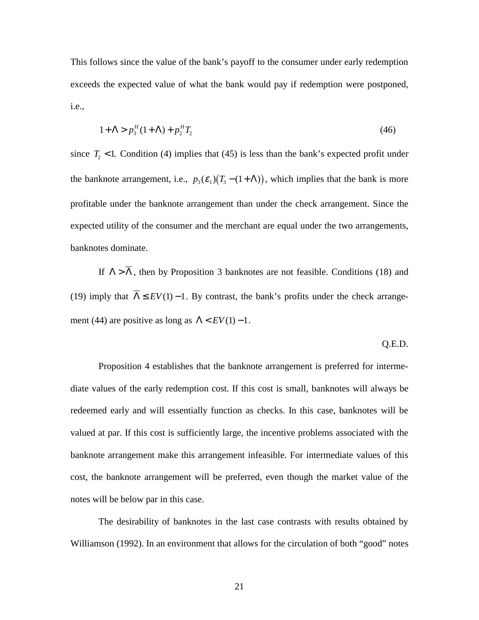This follows since the value of the bank's payoff to the consumer under early redemption exceeds the expected value of what the bank would pay if redemption were postponed, i.e.,

$$
1 + \Lambda > p_3^H (1 + \Lambda) + p_2^H T_2 \tag{46}
$$

since  $T_2$  < 1. Condition (4) implies that (45) is less than the bank's expected profit under the banknote arrangement, i.e.,  $p_3(\varepsilon_1)(T_3 - (1 + \Lambda))$ , which implies that the bank is more profitable under the banknote arrangement than under the check arrangement. Since the expected utility of the consumer and the merchant are equal under the two arrangements, banknotes dominate.

If  $\Lambda > \overline{\Lambda}$ , then by Proposition 3 banknotes are not feasible. Conditions (18) and (19) imply that  $\overline{\Lambda} \leq EV(1) - 1$ . By contrast, the bank's profits under the check arrangement (44) are positive as long as  $\Lambda$  <  $EV(1)$  – 1.

#### Q.E.D.

Proposition 4 establishes that the banknote arrangement is preferred for intermediate values of the early redemption cost. If this cost is small, banknotes will always be redeemed early and will essentially function as checks. In this case, banknotes will be valued at par. If this cost is sufficiently large, the incentive problems associated with the banknote arrangement make this arrangement infeasible. For intermediate values of this cost, the banknote arrangement will be preferred, even though the market value of the notes will be below par in this case.

The desirability of banknotes in the last case contrasts with results obtained by Williamson (1992). In an environment that allows for the circulation of both "good" notes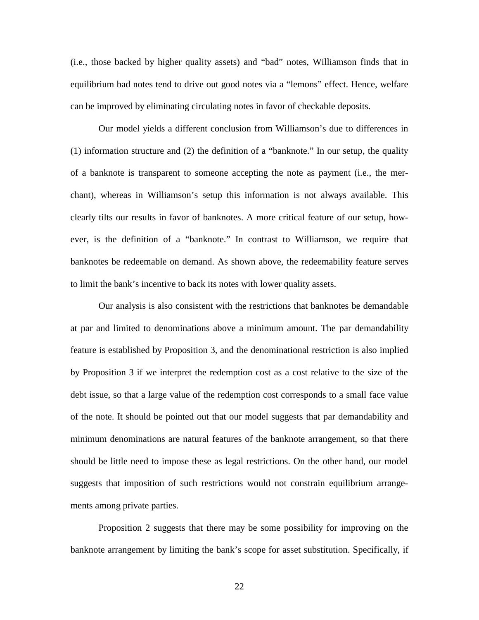(i.e., those backed by higher quality assets) and "bad" notes, Williamson finds that in equilibrium bad notes tend to drive out good notes via a "lemons" effect. Hence, welfare can be improved by eliminating circulating notes in favor of checkable deposits.

Our model yields a different conclusion from Williamson's due to differences in (1) information structure and (2) the definition of a "banknote." In our setup, the quality of a banknote is transparent to someone accepting the note as payment (i.e., the merchant), whereas in Williamson's setup this information is not always available. This clearly tilts our results in favor of banknotes. A more critical feature of our setup, however, is the definition of a "banknote." In contrast to Williamson, we require that banknotes be redeemable on demand. As shown above, the redeemability feature serves to limit the bank's incentive to back its notes with lower quality assets.

Our analysis is also consistent with the restrictions that banknotes be demandable at par and limited to denominations above a minimum amount. The par demandability feature is established by Proposition 3, and the denominational restriction is also implied by Proposition 3 if we interpret the redemption cost as a cost relative to the size of the debt issue, so that a large value of the redemption cost corresponds to a small face value of the note. It should be pointed out that our model suggests that par demandability and minimum denominations are natural features of the banknote arrangement, so that there should be little need to impose these as legal restrictions. On the other hand, our model suggests that imposition of such restrictions would not constrain equilibrium arrangements among private parties.

Proposition 2 suggests that there may be some possibility for improving on the banknote arrangement by limiting the bank's scope for asset substitution. Specifically, if

22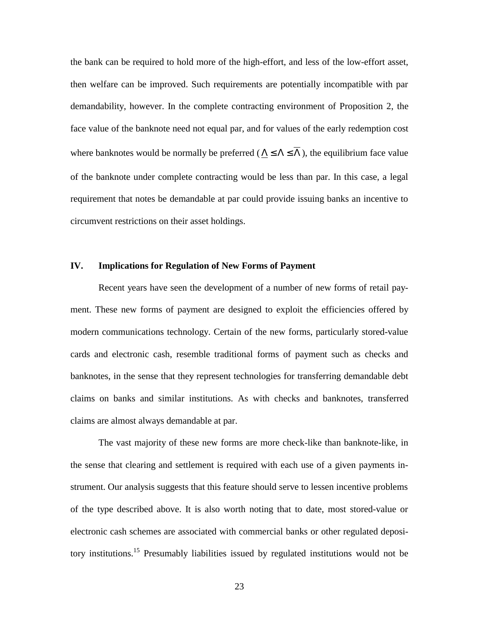the bank can be required to hold more of the high-effort, and less of the low-effort asset, then welfare can be improved. Such requirements are potentially incompatible with par demandability, however. In the complete contracting environment of Proposition 2, the face value of the banknote need not equal par, and for values of the early redemption cost where banknotes would be normally be preferred ( $\Lambda \leq \Lambda \leq \overline{\Lambda}$ ), the equilibrium face value of the banknote under complete contracting would be less than par. In this case, a legal requirement that notes be demandable at par could provide issuing banks an incentive to circumvent restrictions on their asset holdings.

#### **IV. Implications for Regulation of New Forms of Payment**

Recent years have seen the development of a number of new forms of retail payment. These new forms of payment are designed to exploit the efficiencies offered by modern communications technology. Certain of the new forms, particularly stored-value cards and electronic cash, resemble traditional forms of payment such as checks and banknotes, in the sense that they represent technologies for transferring demandable debt claims on banks and similar institutions. As with checks and banknotes, transferred claims are almost always demandable at par.

The vast majority of these new forms are more check-like than banknote-like, in the sense that clearing and settlement is required with each use of a given payments instrument. Our analysis suggests that this feature should serve to lessen incentive problems of the type described above. It is also worth noting that to date, most stored-value or electronic cash schemes are associated with commercial banks or other regulated depository institutions.15 Presumably liabilities issued by regulated institutions would not be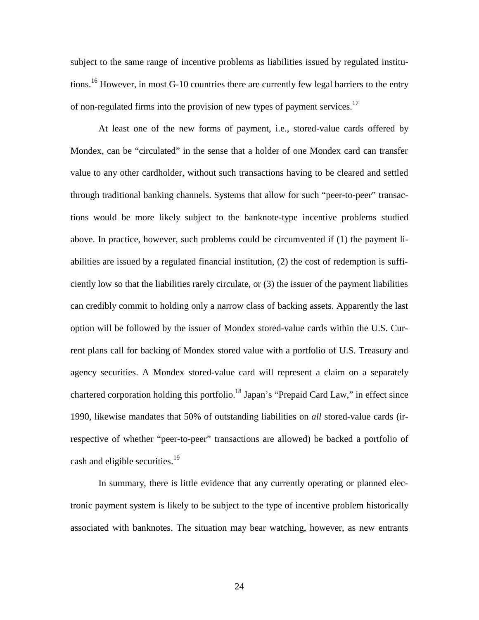subject to the same range of incentive problems as liabilities issued by regulated institutions.<sup>16</sup> However, in most G-10 countries there are currently few legal barriers to the entry of non-regulated firms into the provision of new types of payment services.<sup>17</sup>

At least one of the new forms of payment, i.e., stored-value cards offered by Mondex, can be "circulated" in the sense that a holder of one Mondex card can transfer value to any other cardholder, without such transactions having to be cleared and settled through traditional banking channels. Systems that allow for such "peer-to-peer" transactions would be more likely subject to the banknote-type incentive problems studied above. In practice, however, such problems could be circumvented if (1) the payment liabilities are issued by a regulated financial institution, (2) the cost of redemption is sufficiently low so that the liabilities rarely circulate, or (3) the issuer of the payment liabilities can credibly commit to holding only a narrow class of backing assets. Apparently the last option will be followed by the issuer of Mondex stored-value cards within the U.S. Current plans call for backing of Mondex stored value with a portfolio of U.S. Treasury and agency securities. A Mondex stored-value card will represent a claim on a separately chartered corporation holding this portfolio.<sup>18</sup> Japan's "Prepaid Card Law," in effect since 1990, likewise mandates that 50% of outstanding liabilities on *all* stored-value cards (irrespective of whether "peer-to-peer" transactions are allowed) be backed a portfolio of cash and eligible securities.<sup>19</sup>

In summary, there is little evidence that any currently operating or planned electronic payment system is likely to be subject to the type of incentive problem historically associated with banknotes. The situation may bear watching, however, as new entrants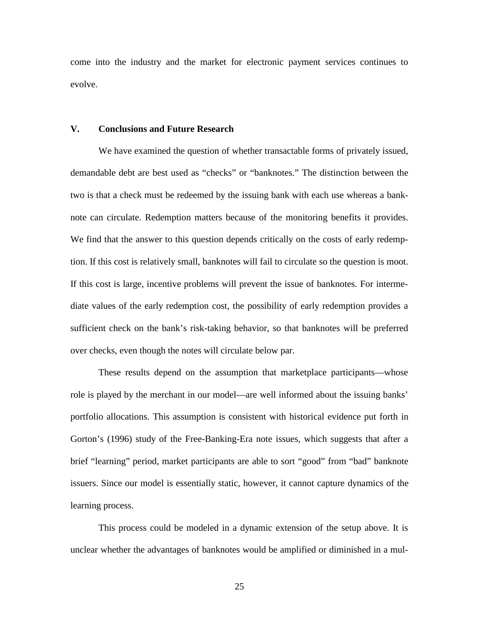come into the industry and the market for electronic payment services continues to evolve.

### **V. Conclusions and Future Research**

We have examined the question of whether transactable forms of privately issued, demandable debt are best used as "checks" or "banknotes." The distinction between the two is that a check must be redeemed by the issuing bank with each use whereas a banknote can circulate. Redemption matters because of the monitoring benefits it provides. We find that the answer to this question depends critically on the costs of early redemption. If this cost is relatively small, banknotes will fail to circulate so the question is moot. If this cost is large, incentive problems will prevent the issue of banknotes. For intermediate values of the early redemption cost, the possibility of early redemption provides a sufficient check on the bank's risk-taking behavior, so that banknotes will be preferred over checks, even though the notes will circulate below par.

These results depend on the assumption that marketplace participants—whose role is played by the merchant in our model—are well informed about the issuing banks' portfolio allocations. This assumption is consistent with historical evidence put forth in Gorton's (1996) study of the Free-Banking-Era note issues, which suggests that after a brief "learning" period, market participants are able to sort "good" from "bad" banknote issuers. Since our model is essentially static, however, it cannot capture dynamics of the learning process.

This process could be modeled in a dynamic extension of the setup above. It is unclear whether the advantages of banknotes would be amplified or diminished in a mul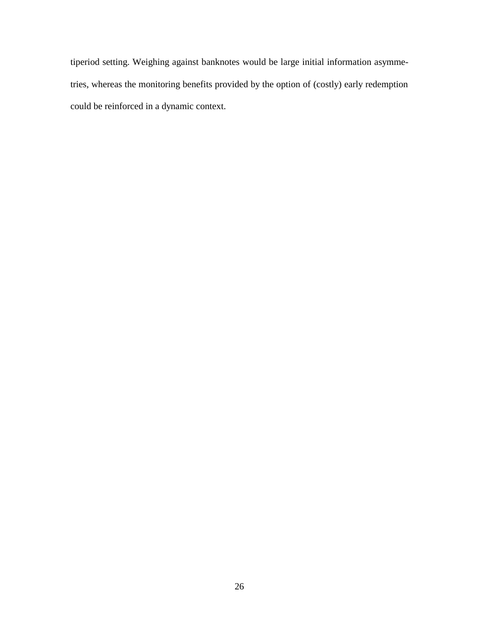tiperiod setting. Weighing against banknotes would be large initial information asymmetries, whereas the monitoring benefits provided by the option of (costly) early redemption could be reinforced in a dynamic context.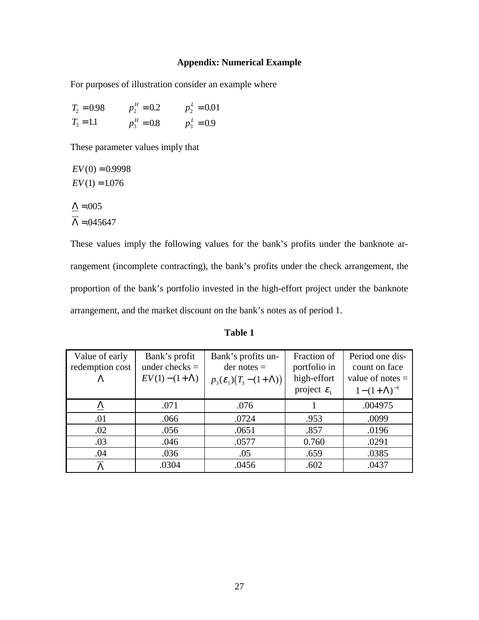# **Appendix: Numerical Example**

For purposes of illustration consider an example where

| $T_2 = 0.98$ | $p_2^H = 0.2$ | $p_2^L = 0.01$ |
|--------------|---------------|----------------|
| $T_3 = 1.1$  | $p_3^H = 0.8$ | $p_3^L = 0.9$  |

These parameter values imply that

 $EV(0) = 0.9998$  $EV(1) = 1.076$  $\Delta = 0.005$  $\Lambda = 0.045647$ 

These values imply the following values for the bank's profits under the banknote arrangement (incomplete contracting), the bank's profits under the check arrangement, the proportion of the bank's portfolio invested in the high-effort project under the banknote arrangement, and the market discount on the bank's notes as of period 1.

| able |  |
|------|--|
|------|--|

| Value of early<br>redemption cost | Bank's profit<br>under checks $=$ | Bank's profits un-<br>$der notes =$   | Fraction of<br>portfolio in | Period one dis-<br>count on face |
|-----------------------------------|-----------------------------------|---------------------------------------|-----------------------------|----------------------------------|
|                                   | $EV(1) - (1 + \Lambda)$           | $p_3(\mathcal{E}_1)(T_3-(1+\Lambda))$ | high-effort                 | value of notes $=$               |
|                                   |                                   |                                       | project $\varepsilon_1$     | $1-(1+\Lambda)^{-1}$             |
| $\Delta$                          | .071                              | .076                                  |                             | .004975                          |
| .01                               | .066                              | .0724                                 | .953                        | .0099                            |
| .02                               | .056                              | .0651                                 | .857                        | .0196                            |
| .03                               | .046                              | .0577                                 | 0.760                       | .0291                            |
| .04                               | .036                              | .05                                   | .659                        | .0385                            |
|                                   | .0304                             | .0456                                 | .602                        | .0437                            |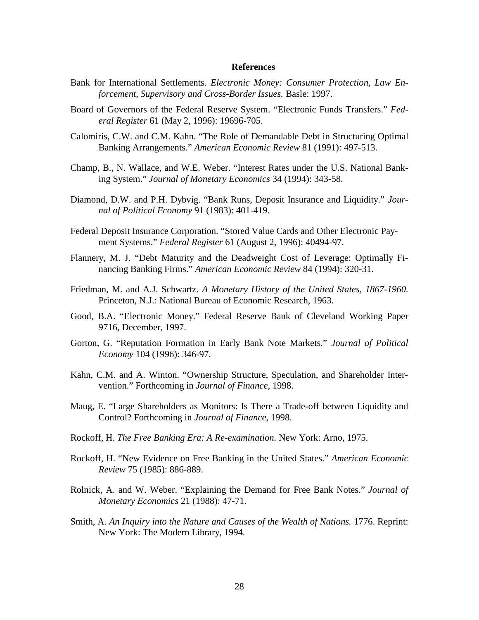#### **References**

- Bank for International Settlements. *Electronic Money: Consumer Protection, Law Enforcement, Supervisory and Cross-Border Issues.* Basle: 1997.
- Board of Governors of the Federal Reserve System. "Electronic Funds Transfers." *Federal Register* 61 (May 2, 1996): 19696-705.
- Calomiris, C.W. and C.M. Kahn. "The Role of Demandable Debt in Structuring Optimal Banking Arrangements." *American Economic Review* 81 (1991): 497-513.
- Champ, B., N. Wallace, and W.E. Weber. "Interest Rates under the U.S. National Banking System." *Journal of Monetary Economics* 34 (1994): 343-58.
- Diamond, D.W. and P.H. Dybvig. "Bank Runs, Deposit Insurance and Liquidity." *Journal of Political Economy* 91 (1983): 401-419.
- Federal Deposit Insurance Corporation. "Stored Value Cards and Other Electronic Payment Systems." *Federal Register* 61 (August 2, 1996): 40494-97.
- Flannery, M. J. "Debt Maturity and the Deadweight Cost of Leverage: Optimally Financing Banking Firms." *American Economic Review* 84 (1994): 320-31.
- Friedman, M. and A.J. Schwartz. *A Monetary History of the United States, 1867-1960.* Princeton, N.J.: National Bureau of Economic Research, 1963.
- Good, B.A. "Electronic Money." Federal Reserve Bank of Cleveland Working Paper 9716, December, 1997.
- Gorton, G. "Reputation Formation in Early Bank Note Markets." *Journal of Political Economy* 104 (1996): 346-97.
- Kahn, C.M. and A. Winton. "Ownership Structure, Speculation, and Shareholder Intervention." Forthcoming in *Journal of Finance,* 1998.
- Maug, E. "Large Shareholders as Monitors: Is There a Trade-off between Liquidity and Control? Forthcoming in *Journal of Finance,* 1998.
- Rockoff, H. *The Free Banking Era: A Re-examination.* New York: Arno, 1975.
- Rockoff, H. "New Evidence on Free Banking in the United States." *American Economic Review* 75 (1985): 886-889.
- Rolnick, A. and W. Weber. "Explaining the Demand for Free Bank Notes." *Journal of Monetary Economics* 21 (1988): 47-71.
- Smith, A. *An Inquiry into the Nature and Causes of the Wealth of Nations.* 1776. Reprint: New York: The Modern Library, 1994.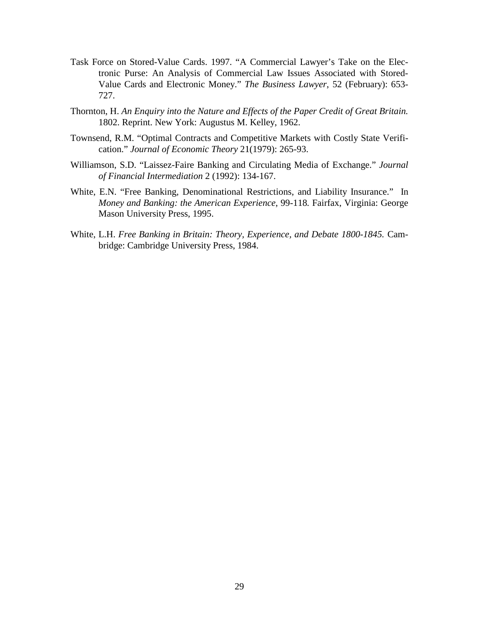- Task Force on Stored-Value Cards. 1997. "A Commercial Lawyer's Take on the Electronic Purse: An Analysis of Commercial Law Issues Associated with Stored-Value Cards and Electronic Money." *The Business Lawyer*, 52 (February): 653- 727.
- Thornton, H. *An Enquiry into the Nature and Effects of the Paper Credit of Great Britain.* 1802. Reprint. New York: Augustus M. Kelley, 1962.
- Townsend, R.M. "Optimal Contracts and Competitive Markets with Costly State Verification." *Journal of Economic Theory* 21(1979): 265-93.
- Williamson, S.D. "Laissez-Faire Banking and Circulating Media of Exchange." *Journal of Financial Intermediation* 2 (1992): 134-167.
- White, E.N. "Free Banking, Denominational Restrictions, and Liability Insurance." In *Money and Banking: the American Experience*, 99-118*.* Fairfax, Virginia: George Mason University Press, 1995.
- White, L.H. *Free Banking in Britain: Theory, Experience, and Debate 1800-1845.* Cambridge: Cambridge University Press, 1984.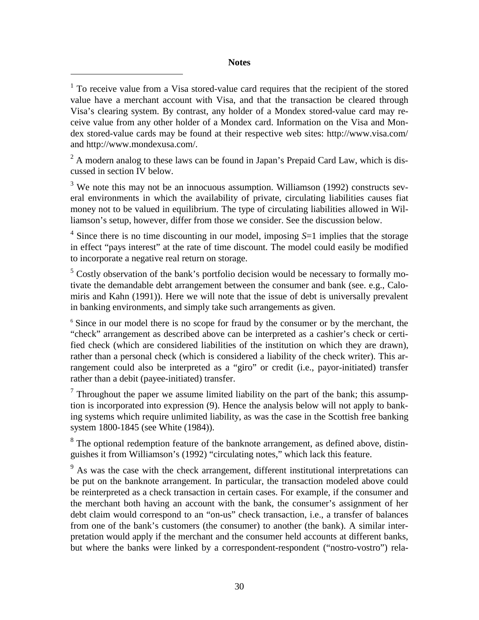### **Notes**

 $\overline{a}$ 

<sup>1</sup> To receive value from a Visa stored-value card requires that the recipient of the stored value have a merchant account with Visa, and that the transaction be cleared through Visa's clearing system. By contrast, any holder of a Mondex stored-value card may receive value from any other holder of a Mondex card. Information on the Visa and Mondex stored-value cards may be found at their respective web sites: http://www.visa.com/ and http://www.mondexusa.com/.

 $2^2$  A modern analog to these laws can be found in Japan's Prepaid Card Law, which is discussed in section IV below.

 $3$  We note this may not be an innocuous assumption. Williamson (1992) constructs several environments in which the availability of private, circulating liabilities causes fiat money not to be valued in equilibrium. The type of circulating liabilities allowed in Williamson's setup, however, differ from those we consider. See the discussion below.

<sup>4</sup> Since there is no time discounting in our model, imposing S=1 implies that the storage in effect "pays interest" at the rate of time discount. The model could easily be modified to incorporate a negative real return on storage.

<sup>5</sup> Costly observation of the bank's portfolio decision would be necessary to formally motivate the demandable debt arrangement between the consumer and bank (see. e.g., Calomiris and Kahn (1991)). Here we will note that the issue of debt is universally prevalent in banking environments, and simply take such arrangements as given.

<sup>6</sup> Since in our model there is no scope for fraud by the consumer or by the merchant, the "check" arrangement as described above can be interpreted as a cashier's check or certified check (which are considered liabilities of the institution on which they are drawn), rather than a personal check (which is considered a liability of the check writer). This arrangement could also be interpreted as a "giro" or credit (i.e., payor-initiated) transfer rather than a debit (payee-initiated) transfer.

Throughout the paper we assume limited liability on the part of the bank; this assumption is incorporated into expression (9). Hence the analysis below will not apply to banking systems which require unlimited liability, as was the case in the Scottish free banking system 1800-1845 (see White (1984)).

 $8$  The optional redemption feature of the banknote arrangement, as defined above, distinguishes it from Williamson's (1992) "circulating notes," which lack this feature.

<sup>9</sup> As was the case with the check arrangement, different institutional interpretations can be put on the banknote arrangement. In particular, the transaction modeled above could be reinterpreted as a check transaction in certain cases. For example, if the consumer and the merchant both having an account with the bank, the consumer's assignment of her debt claim would correspond to an "on-us" check transaction, i.e., a transfer of balances from one of the bank's customers (the consumer) to another (the bank). A similar interpretation would apply if the merchant and the consumer held accounts at different banks, but where the banks were linked by a correspondent-respondent ("nostro-vostro") rela-